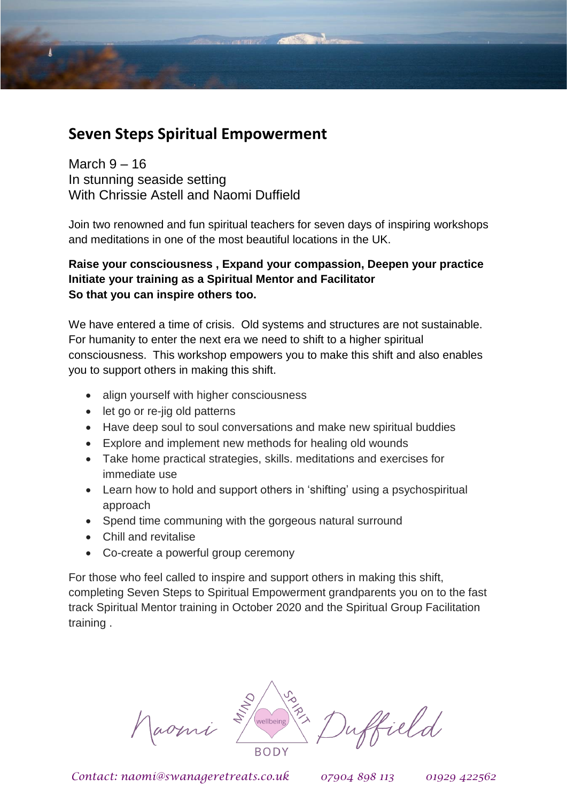## **Seven Steps Spiritual Empowerment**

March 9 – 16 In stunning seaside setting With Chrissie Astell and Naomi Duffield

Join two renowned and fun spiritual teachers for seven days of inspiring workshops and meditations in one of the most beautiful locations in the UK.

## **Raise your consciousness , Expand your compassion, Deepen your practice Initiate your training as a Spiritual Mentor and Facilitator So that you can inspire others too.**

We have entered a time of crisis. Old systems and structures are not sustainable. For humanity to enter the next era we need to shift to a higher spiritual consciousness. This workshop empowers you to make this shift and also enables you to support others in making this shift.

- align yourself with higher consciousness
- let go or re-jig old patterns
- Have deep soul to soul conversations and make new spiritual buddies
- Explore and implement new methods for healing old wounds
- Take home practical strategies, skills. meditations and exercises for immediate use
- Learn how to hold and support others in 'shifting' using a psychospiritual approach
- Spend time communing with the gorgeous natural surround
- Chill and revitalise
- Co-create a powerful group ceremony

For those who feel called to inspire and support others in making this shift, completing Seven Steps to Spiritual Empowerment grandparents you on to the fast track Spiritual Mentor training in October 2020 and the Spiritual Group Facilitation training .



*Contact: naomi@swanageretreats.co.uk 07904 898 113 01929 422562*